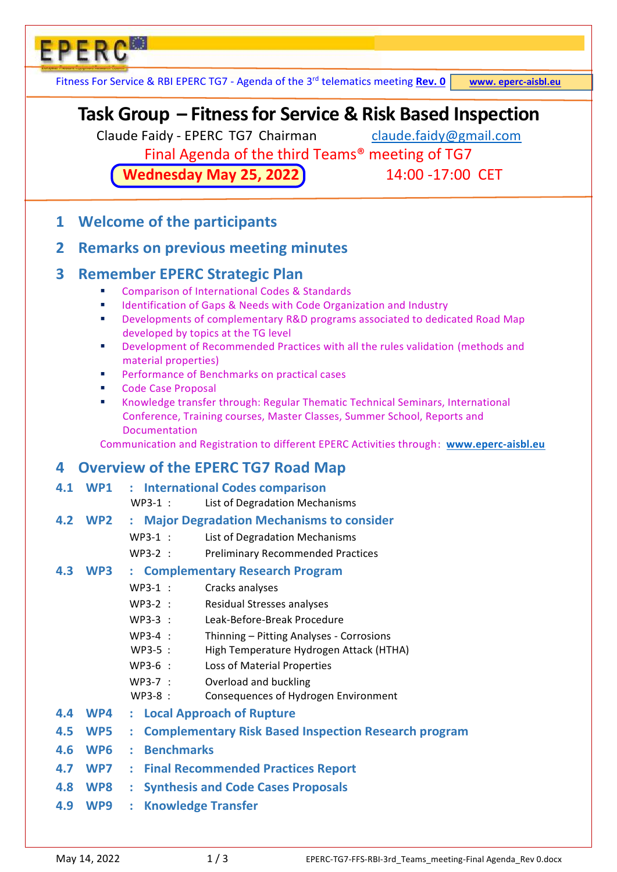Fitness For Service & RBI EPERC TG7 - Agenda of the 3<sup>rd</sup> telematics meeting **Rev. 0** www. eperc-aisbl.eu

# **Task Group – Fitness for Service & Risk Based Inspection**

Claude Faidy - EPERC TG7 Chairman [claude.faidy@gmail.com](about:blank)

Final Agenda of the third Teams® meeting of TG7

**Wednesday May 25, 2022** 14:00 -17:00 CET

**1 Welcome of the participants** 

**EPERC®** 

# **2 Remarks on previous meeting minutes**

# **3 Remember EPERC Strategic Plan**

- Comparison of International Codes & Standards
- Identification of Gaps & Needs with Code Organization and Industry
- **Developments of complementary R&D programs associated to dedicated Road Map** developed by topics at the TG level
- Development of Recommended Practices with all the rules validation (methods and material properties)
- Performance of Benchmarks on practical cases
- Code Case Proposal
- Knowledge transfer through: Regular Thematic Technical Seminars, International Conference, Training courses, Master Classes, Summer School, Reports and Documentation

Communication and Registration to different EPERC Activities through: **[www.eperc-aisbl.eu](about:blank)** 

# **4 Overview of the EPERC TG7 Road Map**

|  |  |  | 4.1 WP1 : International Codes comparison |  |  |
|--|--|--|------------------------------------------|--|--|
|--|--|--|------------------------------------------|--|--|

- WP3-1 : List of Degradation Mechanisms
- **4.2 WP2 : Major Degradation Mechanisms to consider** 
	- WP3-1 : List of Degradation Mechanisms
	- WP3-2 : Preliminary Recommended Practices

### **4.3 WP3 : Complementary Research Program**

- WP3-1 : Cracks analyses
- WP3-2 : Residual Stresses analyses
- WP3-3 : Leak-Before-Break Procedure
- WP3-4 : Thinning Pitting Analyses Corrosions
- WP3-5 : High Temperature Hydrogen Attack (HTHA)
- WP3-6 : Loss of Material Properties
- WP3-7 : Overload and buckling
	- WP3-8 : Consequences of Hydrogen Environment
- **4.4 WP4 : Local Approach of Rupture**
- **4.5 WP5 : Complementary Risk Based Inspection Research program**
- **4.6 WP6 : Benchmarks**
- **4.7 WP7 : Final Recommended Practices Report**
- **4.8 WP8 : Synthesis and Code Cases Proposals**
- **4.9 WP9 : Knowledge Transfer**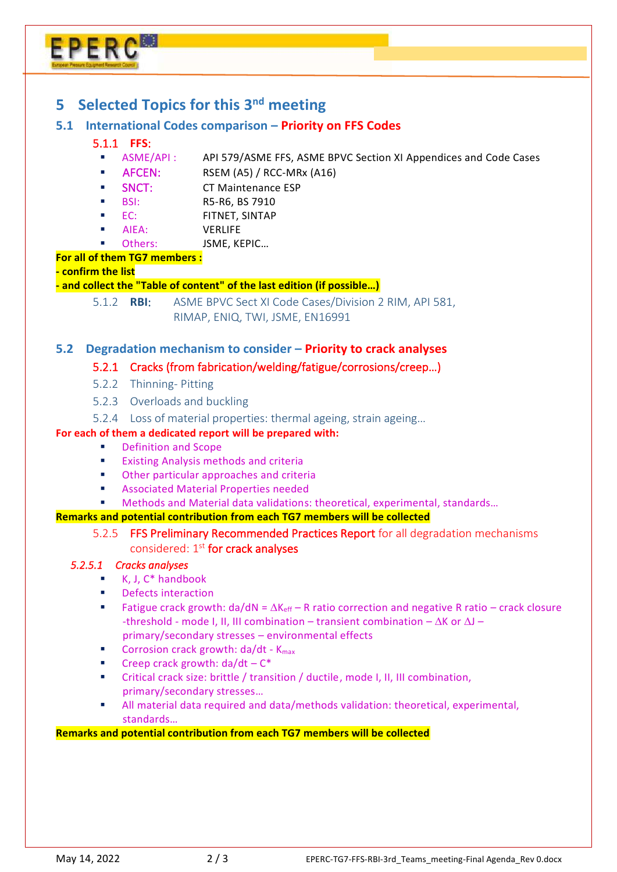# EPERC

# **5 Selected Topics for this 3nd meeting**

#### **5.1 International Codes comparison – Priority on FFS Codes**

#### 5.1.1 **FFS**:

- ASME/API : API 579/ASME FFS, ASME BPVC Section XI Appendices and Code Cases
- AFCEN: RSEM (A5) / RCC-MRx (A16)
- SNCT: CT Maintenance ESP
- BSI: R5-R6, BS 7910
- EC: FITNET, SINTAP
- AIEA: VERLIFE
- Others: JSME, KEPIC…

#### **For all of them TG7 members :**

#### **- confirm the list**

#### **- and collect the "Table of content" of the last edition (if possible…)**

5.1.2 **RBI**: ASME BPVC Sect XI Code Cases/Division 2 RIM, API 581, RIMAP, ENIQ, TWI, JSME, EN16991

#### **5.2 Degradation mechanism to consider – Priority to crack analyses**

#### 5.2.1 Cracks (from fabrication/welding/fatigue/corrosions/creep…)

- 5.2.2 Thinning- Pitting
- 5.2.3 Overloads and buckling
- 5.2.4 Loss of material properties: thermal ageing, strain ageing…

#### **For each of them a dedicated report will be prepared with:**

- Definition and Scope
- **Existing Analysis methods and criteria**
- Other particular approaches and criteria
- Associated Material Properties needed
- Methods and Material data validations: theoretical, experimental, standards…

#### **Remarks and potential contribution from each TG7 members will be collected**

5.2.5 FFS Preliminary Recommended Practices Report for all degradation mechanisms considered: 1<sup>st</sup> for crack analyses

#### *5.2.5.1 Cracks analyses*

- $\blacksquare$  K, J,  $C^*$  handbook
- **Defects interaction**
- Fatigue crack growth:  $da/dN = \Delta K_{eff} R$  ratio correction and negative R ratio crack closure -threshold - mode I, II, III combination – transient combination –  $\Delta K$  or  $\Delta J$  – primary/secondary stresses – environmental effects
- Corrosion crack growth: da/dt K<sub>max</sub>
- Creep crack growth:  $da/dt C^*$
- Critical crack size: brittle / transition / ductile, mode I, II, III combination, primary/secondary stresses…
- All material data required and data/methods validation: theoretical, experimental, standards…

#### **Remarks and potential contribution from each TG7 members will be collected**